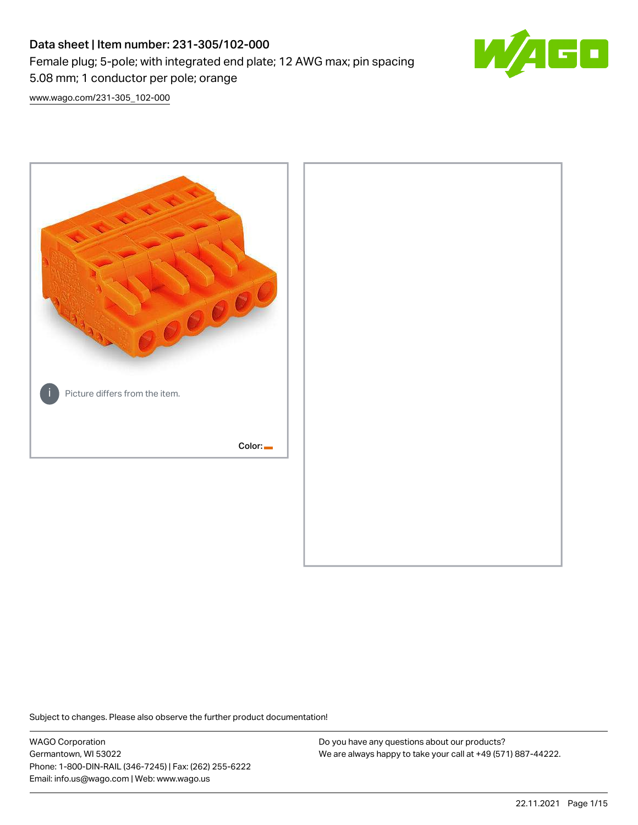# Data sheet | Item number: 231-305/102-000 Female plug; 5-pole; with integrated end plate; 12 AWG max; pin spacing 5.08 mm; 1 conductor per pole; orange



[www.wago.com/231-305\\_102-000](http://www.wago.com/231-305_102-000)



Subject to changes. Please also observe the further product documentation!

WAGO Corporation Germantown, WI 53022 Phone: 1-800-DIN-RAIL (346-7245) | Fax: (262) 255-6222 Email: info.us@wago.com | Web: www.wago.us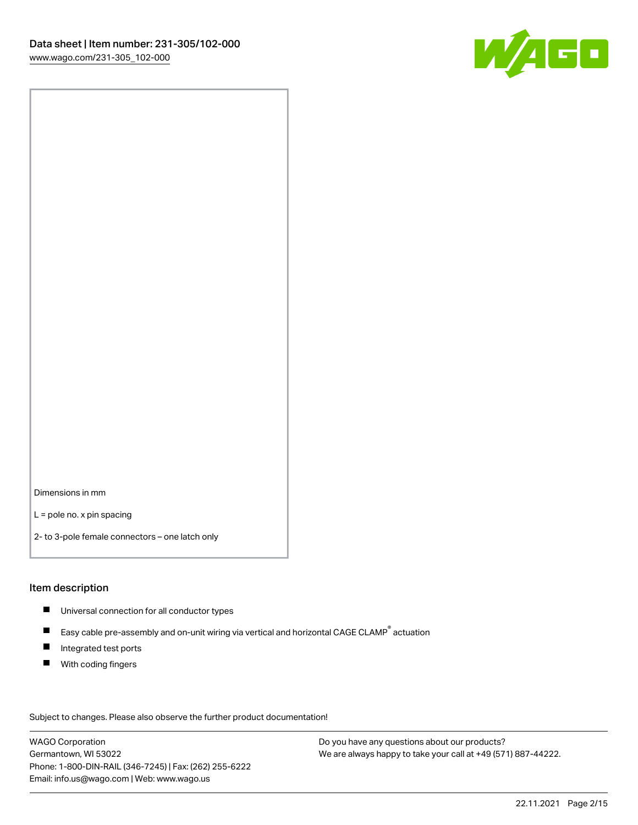

Dimensions in mm

L = pole no. x pin spacing

2- to 3-pole female connectors – one latch only

### Item description

- **Universal connection for all conductor types**
- Easy cable pre-assembly and on-unit wiring via vertical and horizontal CAGE CLAMP<sup>®</sup> actuation  $\blacksquare$
- $\blacksquare$ Integrated test ports
- $\blacksquare$ With coding fingers

Subject to changes. Please also observe the further product documentation! Data

WAGO Corporation Germantown, WI 53022 Phone: 1-800-DIN-RAIL (346-7245) | Fax: (262) 255-6222 Email: info.us@wago.com | Web: www.wago.us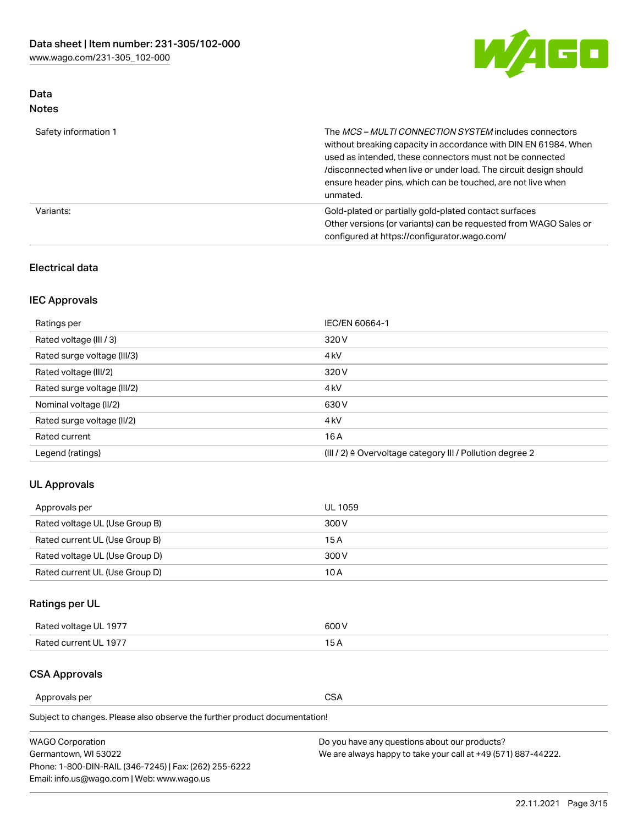

## Data Notes

| Safety information 1 | The MCS-MULTI CONNECTION SYSTEM includes connectors<br>without breaking capacity in accordance with DIN EN 61984. When<br>used as intended, these connectors must not be connected<br>/disconnected when live or under load. The circuit design should<br>ensure header pins, which can be touched, are not live when<br>unmated. |
|----------------------|-----------------------------------------------------------------------------------------------------------------------------------------------------------------------------------------------------------------------------------------------------------------------------------------------------------------------------------|
| Variants:            | Gold-plated or partially gold-plated contact surfaces<br>Other versions (or variants) can be requested from WAGO Sales or<br>configured at https://configurator.wago.com/                                                                                                                                                         |

## Electrical data

## IEC Approvals

| Ratings per                 | IEC/EN 60664-1                                                        |
|-----------------------------|-----------------------------------------------------------------------|
| Rated voltage (III / 3)     | 320 V                                                                 |
| Rated surge voltage (III/3) | 4 <sub>k</sub> V                                                      |
| Rated voltage (III/2)       | 320 V                                                                 |
| Rated surge voltage (III/2) | 4 <sub>k</sub> V                                                      |
| Nominal voltage (II/2)      | 630 V                                                                 |
| Rated surge voltage (II/2)  | 4 <sub>k</sub> V                                                      |
| Rated current               | 16 A                                                                  |
| Legend (ratings)            | $(III / 2)$ $\triangle$ Overvoltage category III / Pollution degree 2 |

## UL Approvals

| Approvals per                  | UL 1059 |
|--------------------------------|---------|
| Rated voltage UL (Use Group B) | 300 V   |
| Rated current UL (Use Group B) | 15 A    |
| Rated voltage UL (Use Group D) | 300 V   |
| Rated current UL (Use Group D) | 10 A    |

## Ratings per UL

| Rated voltage UL 1977 | 600 V         |
|-----------------------|---------------|
| Rated current UL 1977 | $\sim$ $\sim$ |

## CSA Approvals

Approvals per CSA

Subject to changes. Please also observe the further product documentation!

| <b>WAGO Corporation</b>                                | Do you have any questions about our products?                 |
|--------------------------------------------------------|---------------------------------------------------------------|
| Germantown, WI 53022                                   | We are always happy to take your call at +49 (571) 887-44222. |
| Phone: 1-800-DIN-RAIL (346-7245)   Fax: (262) 255-6222 |                                                               |
| Email: info.us@wago.com   Web: www.wago.us             |                                                               |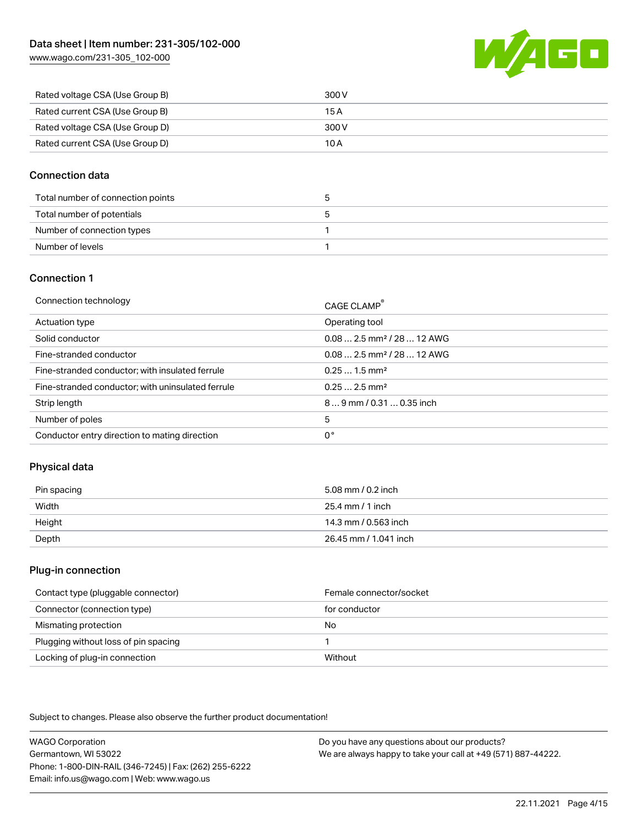[www.wago.com/231-305\\_102-000](http://www.wago.com/231-305_102-000)



| Rated voltage CSA (Use Group B) | 300 V |
|---------------------------------|-------|
| Rated current CSA (Use Group B) | 15 A  |
| Rated voltage CSA (Use Group D) | 300 V |
| Rated current CSA (Use Group D) | 10 A  |

## Connection data

| Total number of connection points |  |
|-----------------------------------|--|
| Total number of potentials        |  |
| Number of connection types        |  |
| Number of levels                  |  |

## Connection 1

| Connection technology                             | CAGE CLAMP <sup>®</sup>                 |
|---------------------------------------------------|-----------------------------------------|
| Actuation type                                    | Operating tool                          |
| Solid conductor                                   | $0.082.5$ mm <sup>2</sup> / 28  12 AWG  |
| Fine-stranded conductor                           | $0.08$ 2.5 mm <sup>2</sup> / 28  12 AWG |
| Fine-stranded conductor; with insulated ferrule   | $0.251.5$ mm <sup>2</sup>               |
| Fine-stranded conductor; with uninsulated ferrule | $0.252.5$ mm <sup>2</sup>               |
| Strip length                                      | $89$ mm $/$ 0.31  0.35 inch             |
| Number of poles                                   | 5                                       |
| Conductor entry direction to mating direction     | 0°                                      |

## Physical data

| Pin spacing | 5.08 mm / 0.2 inch    |
|-------------|-----------------------|
| Width       | 25.4 mm / 1 inch      |
| Height      | 14.3 mm / 0.563 inch  |
| Depth       | 26.45 mm / 1.041 inch |

### Plug-in connection

| Contact type (pluggable connector)   | Female connector/socket |
|--------------------------------------|-------------------------|
| Connector (connection type)          | for conductor           |
| Mismating protection                 | No                      |
| Plugging without loss of pin spacing |                         |
| Locking of plug-in connection        | Without                 |

Subject to changes. Please also observe the further product documentation!

WAGO Corporation Germantown, WI 53022 Phone: 1-800-DIN-RAIL (346-7245) | Fax: (262) 255-6222 Email: info.us@wago.com | Web: www.wago.us Do you have any questions about our products? We are always happy to take your call at +49 (571) 887-44222.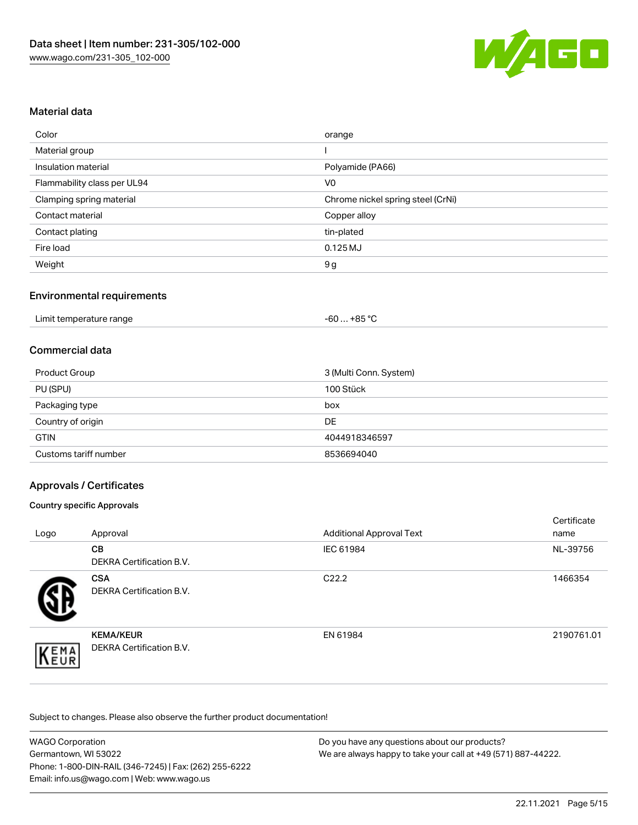

## Material data

| Color                       | orange                            |
|-----------------------------|-----------------------------------|
| Material group              |                                   |
| Insulation material         | Polyamide (PA66)                  |
| Flammability class per UL94 | V <sub>0</sub>                    |
| Clamping spring material    | Chrome nickel spring steel (CrNi) |
| Contact material            | Copper alloy                      |
| Contact plating             | tin-plated                        |
| Fire load                   | $0.125$ MJ                        |
| Weight                      | 9g                                |

## Environmental requirements

| Limit temperature range<br>.<br>. | +85 °C<br>-60 |  |
|-----------------------------------|---------------|--|
|-----------------------------------|---------------|--|

#### Commercial data

| Product Group         | 3 (Multi Conn. System) |
|-----------------------|------------------------|
| PU (SPU)              | 100 Stück              |
| Packaging type        | box                    |
| Country of origin     | DE                     |
| <b>GTIN</b>           | 4044918346597          |
| Customs tariff number | 8536694040             |

## Approvals / Certificates

#### Country specific Approvals

| Logo | Approval                                            | <b>Additional Approval Text</b> | Certificate<br>name |
|------|-----------------------------------------------------|---------------------------------|---------------------|
|      | <b>CB</b><br><b>DEKRA Certification B.V.</b>        | IEC 61984                       | NL-39756            |
|      | <b>CSA</b><br>DEKRA Certification B.V.              | C <sub>22.2</sub>               | 1466354             |
| EMA  | <b>KEMA/KEUR</b><br><b>DEKRA Certification B.V.</b> | EN 61984                        | 2190761.01          |

Subject to changes. Please also observe the further product documentation!

| <b>WAGO Corporation</b>                                | Do you have any questions about our products?                 |  |
|--------------------------------------------------------|---------------------------------------------------------------|--|
| Germantown. WI 53022                                   | We are always happy to take your call at +49 (571) 887-44222. |  |
| Phone: 1-800-DIN-RAIL (346-7245)   Fax: (262) 255-6222 |                                                               |  |
| Email: info.us@wago.com   Web: www.wago.us             |                                                               |  |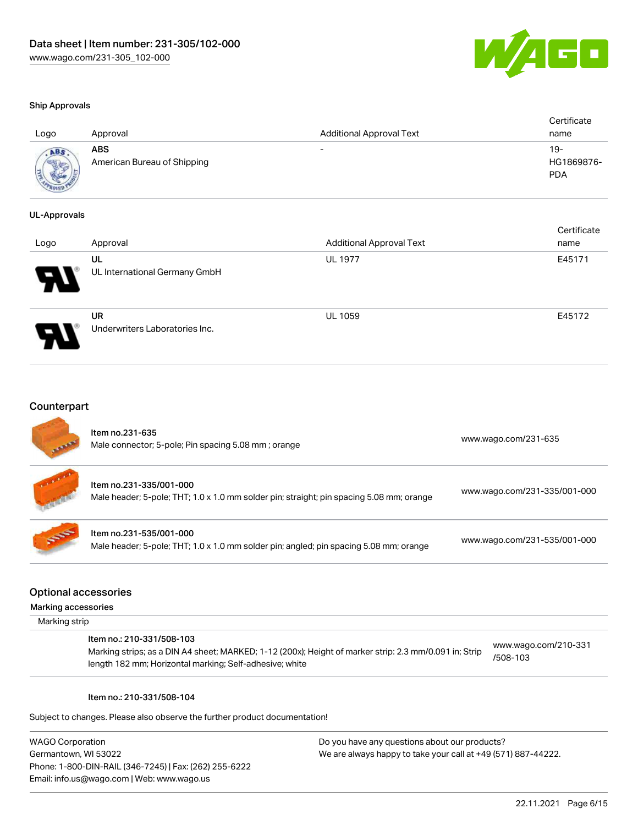

#### Ship Approvals

| Logo        | Approval                           | <b>Additional Approval Text</b> | Certificate<br>name             |
|-------------|------------------------------------|---------------------------------|---------------------------------|
| <b>ADAR</b> | ABS<br>American Bureau of Shipping | -                               | 19-<br>HG1869876-<br><b>PDA</b> |

#### UL-Approvals

| Logo | Approval                             | <b>Additional Approval Text</b> | Certificate<br>name |
|------|--------------------------------------|---------------------------------|---------------------|
| Ъ.   | UL<br>UL International Germany GmbH  | <b>UL 1977</b>                  | E45171              |
| I    | UR<br>Underwriters Laboratories Inc. | <b>UL 1059</b>                  | E45172              |

### **Counterpart**

| <b>All Rand</b> | Item no.231-635<br>Male connector; 5-pole; Pin spacing 5.08 mm; orange                                              | www.wago.com/231-635         |
|-----------------|---------------------------------------------------------------------------------------------------------------------|------------------------------|
|                 | Item no.231-335/001-000<br>Male header; 5-pole; THT; 1.0 x 1.0 mm solder pin; straight; pin spacing 5.08 mm; orange | www.wago.com/231-335/001-000 |
| <b>SSS</b>      | Item no.231-535/001-000<br>Male header; 5-pole; THT; 1.0 x 1.0 mm solder pin; angled; pin spacing 5.08 mm; orange   | www.wago.com/231-535/001-000 |

#### Optional accessories

Marking accessories

Marking strip

#### Item no.: 210-331/508-103

Marking strips; as a DIN A4 sheet; MARKED; 1-12 (200x); Height of marker strip: 2.3 mm/0.091 in; Strip length 182 mm; Horizontal marking; Self-adhesive; white [www.wago.com/210-331](http://www.wago.com/210-331/508-103) [/508-103](http://www.wago.com/210-331/508-103)

#### Item no.: 210-331/508-104

Subject to changes. Please also observe the further product documentation!

WAGO Corporation Germantown, WI 53022 Phone: 1-800-DIN-RAIL (346-7245) | Fax: (262) 255-6222 Email: info.us@wago.com | Web: www.wago.us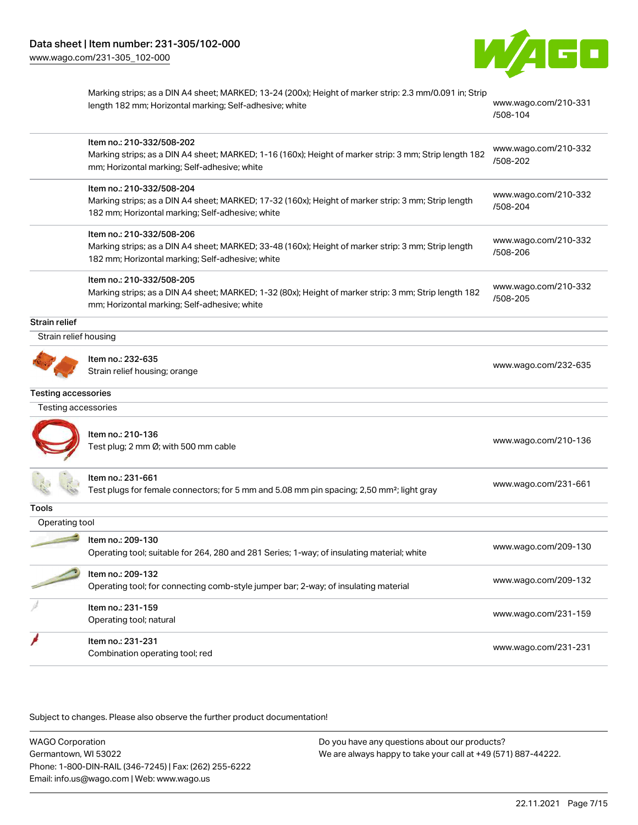

|                            | Marking strips; as a DIN A4 sheet; MARKED; 13-24 (200x); Height of marker strip: 2.3 mm/0.091 in; Strip<br>www.wago.com/210-331<br>length 182 mm; Horizontal marking; Self-adhesive; white<br>/508-104 |                                  |
|----------------------------|--------------------------------------------------------------------------------------------------------------------------------------------------------------------------------------------------------|----------------------------------|
|                            | Item no.: 210-332/508-202<br>Marking strips; as a DIN A4 sheet; MARKED; 1-16 (160x); Height of marker strip: 3 mm; Strip length 182<br>mm; Horizontal marking; Self-adhesive; white                    | www.wago.com/210-332<br>/508-202 |
|                            | Item no.: 210-332/508-204<br>Marking strips; as a DIN A4 sheet; MARKED; 17-32 (160x); Height of marker strip: 3 mm; Strip length<br>182 mm; Horizontal marking; Self-adhesive; white                   | www.wago.com/210-332<br>/508-204 |
|                            | Item no.: 210-332/508-206<br>Marking strips; as a DIN A4 sheet; MARKED; 33-48 (160x); Height of marker strip: 3 mm; Strip length<br>182 mm; Horizontal marking; Self-adhesive; white                   | www.wago.com/210-332<br>/508-206 |
|                            | Item no.: 210-332/508-205<br>Marking strips; as a DIN A4 sheet; MARKED; 1-32 (80x); Height of marker strip: 3 mm; Strip length 182<br>mm; Horizontal marking; Self-adhesive; white                     | www.wago.com/210-332<br>/508-205 |
| Strain relief              |                                                                                                                                                                                                        |                                  |
| Strain relief housing      |                                                                                                                                                                                                        |                                  |
|                            | ltem no.: 232-635<br>Strain relief housing; orange                                                                                                                                                     | www.wago.com/232-635             |
| <b>Testing accessories</b> |                                                                                                                                                                                                        |                                  |
| Testing accessories        |                                                                                                                                                                                                        |                                  |
|                            | Item no.: 210-136<br>Test plug; 2 mm Ø; with 500 mm cable                                                                                                                                              | www.wago.com/210-136             |
|                            | ltem no.: 231-661<br>Test plugs for female connectors; for 5 mm and 5.08 mm pin spacing; 2,50 mm <sup>2</sup> ; light gray                                                                             | www.wago.com/231-661             |
| Tools                      |                                                                                                                                                                                                        |                                  |
| Operating tool             |                                                                                                                                                                                                        |                                  |
|                            | Item no.: 209-130<br>Operating tool; suitable for 264, 280 and 281 Series; 1-way; of insulating material; white                                                                                        | www.wago.com/209-130             |
|                            | Item no.: 209-132<br>Operating tool; for connecting comb-style jumper bar; 2-way; of insulating material                                                                                               | www.wago.com/209-132             |
|                            | Item no.: 231-159<br>Operating tool; natural                                                                                                                                                           | www.wago.com/231-159             |
|                            | Item no.: 231-231<br>Combination operating tool; red                                                                                                                                                   | www.wago.com/231-231             |

Subject to changes. Please also observe the further product documentation!

WAGO Corporation Germantown, WI 53022 Phone: 1-800-DIN-RAIL (346-7245) | Fax: (262) 255-6222 Email: info.us@wago.com | Web: www.wago.us Do you have any questions about our products? We are always happy to take your call at +49 (571) 887-44222.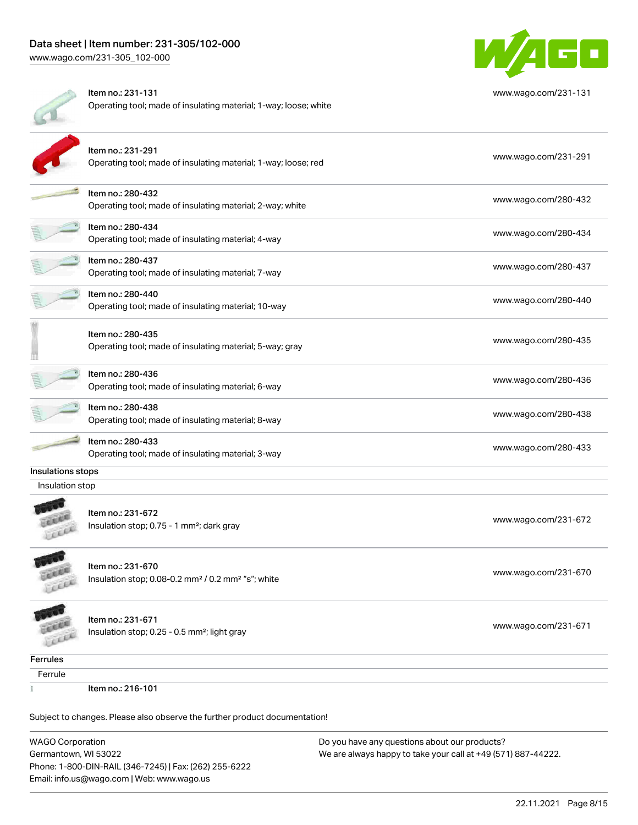

|                   | Item no.: 231-131<br>www.wago.com/231-131<br>Operating tool; made of insulating material; 1-way; loose; white |                      |
|-------------------|---------------------------------------------------------------------------------------------------------------|----------------------|
|                   | Item no.: 231-291<br>Operating tool; made of insulating material; 1-way; loose; red                           | www.wago.com/231-291 |
|                   | Item no.: 280-432<br>Operating tool; made of insulating material; 2-way; white                                | www.wago.com/280-432 |
|                   | Item no.: 280-434<br>Operating tool; made of insulating material; 4-way                                       | www.wago.com/280-434 |
|                   | Item no.: 280-437<br>Operating tool; made of insulating material; 7-way                                       | www.wago.com/280-437 |
|                   | Item no.: 280-440<br>www.wago.com/280-440<br>Operating tool; made of insulating material; 10-way              |                      |
|                   | Item no.: 280-435<br>Operating tool; made of insulating material; 5-way; gray                                 | www.wago.com/280-435 |
|                   | ltem no.: 280-436<br>Operating tool; made of insulating material; 6-way                                       | www.wago.com/280-436 |
|                   | Item no.: 280-438<br>Operating tool; made of insulating material; 8-way                                       | www.wago.com/280-438 |
|                   | Item no.: 280-433<br>Operating tool; made of insulating material; 3-way                                       | www.wago.com/280-433 |
| Insulations stops |                                                                                                               |                      |
| Insulation stop   |                                                                                                               |                      |
|                   | Item no.: 231-672<br>Insulation stop; 0.75 - 1 mm <sup>2</sup> ; dark gray                                    | www.wago.com/231-672 |
| <b>ANDRE</b>      | Item no.: 231-670<br>Insulation stop; 0.08-0.2 mm <sup>2</sup> / 0.2 mm <sup>2</sup> "s"; white               | www.wago.com/231-670 |
|                   | Item no.: 231-671<br>Insulation stop; 0.25 - 0.5 mm <sup>2</sup> ; light gray                                 | www.wago.com/231-671 |

**Ferrules** 

Ferrule

Ŧ

Item no.: 216-101

Subject to changes. Please also observe the further product documentation!

WAGO Corporation Germantown, WI 53022 Phone: 1-800-DIN-RAIL (346-7245) | Fax: (262) 255-6222 Email: info.us@wago.com | Web: www.wago.us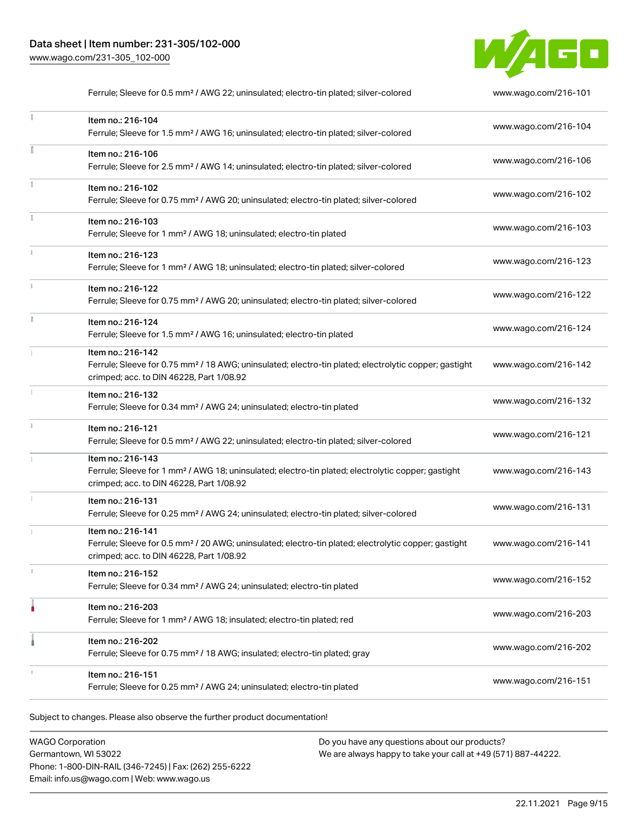

|    | Ferrule; Sleeve for 0.5 mm <sup>2</sup> / AWG 22; uninsulated; electro-tin plated; silver-colored                                                                                  | www.wago.com/216-101 |
|----|------------------------------------------------------------------------------------------------------------------------------------------------------------------------------------|----------------------|
|    | Item no.: 216-104<br>Ferrule; Sleeve for 1.5 mm <sup>2</sup> / AWG 16; uninsulated; electro-tin plated; silver-colored                                                             | www.wago.com/216-104 |
|    | Item no.: 216-106<br>www.wago.com/216-106<br>Ferrule; Sleeve for 2.5 mm <sup>2</sup> / AWG 14; uninsulated; electro-tin plated; silver-colored                                     |                      |
|    | Item no.: 216-102<br>Ferrule; Sleeve for 0.75 mm <sup>2</sup> / AWG 20; uninsulated; electro-tin plated; silver-colored                                                            | www.wago.com/216-102 |
|    | Item no.: 216-103<br>Ferrule; Sleeve for 1 mm <sup>2</sup> / AWG 18; uninsulated; electro-tin plated                                                                               | www.wago.com/216-103 |
|    | Item no.: 216-123<br>Ferrule; Sleeve for 1 mm <sup>2</sup> / AWG 18; uninsulated; electro-tin plated; silver-colored                                                               | www.wago.com/216-123 |
| ĵ. | Item no.: 216-122<br>Ferrule; Sleeve for 0.75 mm <sup>2</sup> / AWG 20; uninsulated; electro-tin plated; silver-colored                                                            | www.wago.com/216-122 |
|    | Item no.: 216-124<br>Ferrule; Sleeve for 1.5 mm <sup>2</sup> / AWG 16; uninsulated; electro-tin plated                                                                             | www.wago.com/216-124 |
|    | Item no.: 216-142<br>Ferrule; Sleeve for 0.75 mm <sup>2</sup> / 18 AWG; uninsulated; electro-tin plated; electrolytic copper; gastight<br>crimped; acc. to DIN 46228, Part 1/08.92 | www.wago.com/216-142 |
|    | Item no.: 216-132<br>Ferrule; Sleeve for 0.34 mm <sup>2</sup> / AWG 24; uninsulated; electro-tin plated                                                                            | www.wago.com/216-132 |
|    | Item no.: 216-121<br>Ferrule; Sleeve for 0.5 mm <sup>2</sup> / AWG 22; uninsulated; electro-tin plated; silver-colored                                                             | www.wago.com/216-121 |
|    | Item no.: 216-143<br>Ferrule; Sleeve for 1 mm <sup>2</sup> / AWG 18; uninsulated; electro-tin plated; electrolytic copper; gastight<br>crimped; acc. to DIN 46228, Part 1/08.92    | www.wago.com/216-143 |
| I. | Item no.: 216-131<br>Ferrule; Sleeve for 0.25 mm <sup>2</sup> / AWG 24; uninsulated; electro-tin plated; silver-colored                                                            | www.wago.com/216-131 |
|    | Item no.: 216-141<br>Ferrule; Sleeve for 0.5 mm <sup>2</sup> / 20 AWG; uninsulated; electro-tin plated; electrolytic copper; gastight<br>crimped; acc. to DIN 46228, Part 1/08.92  | www.wago.com/216-141 |
|    | Item no.: 216-152<br>Ferrule; Sleeve for 0.34 mm <sup>2</sup> / AWG 24; uninsulated; electro-tin plated                                                                            | www.wago.com/216-152 |
|    | Item no.: 216-203<br>Ferrule; Sleeve for 1 mm <sup>2</sup> / AWG 18; insulated; electro-tin plated; red                                                                            | www.wago.com/216-203 |
|    | Item no.: 216-202<br>Ferrule; Sleeve for 0.75 mm <sup>2</sup> / 18 AWG; insulated; electro-tin plated; gray                                                                        | www.wago.com/216-202 |
|    | Item no.: 216-151<br>Ferrule; Sleeve for 0.25 mm <sup>2</sup> / AWG 24; uninsulated; electro-tin plated                                                                            | www.wago.com/216-151 |

Subject to changes. Please also observe the further product documentation!

WAGO Corporation Germantown, WI 53022 Phone: 1-800-DIN-RAIL (346-7245) | Fax: (262) 255-6222 Email: info.us@wago.com | Web: www.wago.us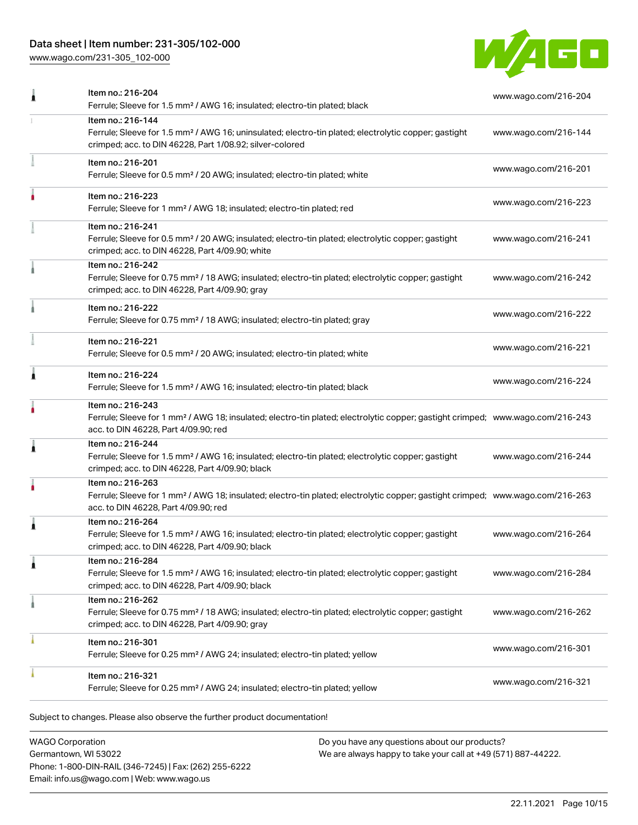## Data sheet | Item number: 231-305/102-000

[www.wago.com/231-305\\_102-000](http://www.wago.com/231-305_102-000)



|   | Item no.: 216-204<br>Ferrule; Sleeve for 1.5 mm <sup>2</sup> / AWG 16; insulated; electro-tin plated; black                                                                                             | www.wago.com/216-204 |  |
|---|---------------------------------------------------------------------------------------------------------------------------------------------------------------------------------------------------------|----------------------|--|
|   | Item no.: 216-144<br>Ferrule; Sleeve for 1.5 mm <sup>2</sup> / AWG 16; uninsulated; electro-tin plated; electrolytic copper; gastight<br>crimped; acc. to DIN 46228, Part 1/08.92; silver-colored       | www.wago.com/216-144 |  |
|   | Item no.: 216-201<br>Ferrule; Sleeve for 0.5 mm <sup>2</sup> / 20 AWG; insulated; electro-tin plated; white                                                                                             | www.wago.com/216-201 |  |
|   | Item no.: 216-223<br>www.wago.com/216-223<br>Ferrule; Sleeve for 1 mm <sup>2</sup> / AWG 18; insulated; electro-tin plated; red                                                                         |                      |  |
|   | Item no.: 216-241<br>Ferrule; Sleeve for 0.5 mm <sup>2</sup> / 20 AWG; insulated; electro-tin plated; electrolytic copper; gastight<br>crimped; acc. to DIN 46228, Part 4/09.90; white                  | www.wago.com/216-241 |  |
|   | Item no.: 216-242<br>Ferrule; Sleeve for 0.75 mm <sup>2</sup> / 18 AWG; insulated; electro-tin plated; electrolytic copper; gastight<br>crimped; acc. to DIN 46228, Part 4/09.90; gray                  | www.wago.com/216-242 |  |
|   | Item no.: 216-222<br>Ferrule; Sleeve for 0.75 mm <sup>2</sup> / 18 AWG; insulated; electro-tin plated; gray                                                                                             | www.wago.com/216-222 |  |
|   | Item no.: 216-221<br>Ferrule; Sleeve for 0.5 mm <sup>2</sup> / 20 AWG; insulated; electro-tin plated; white                                                                                             | www.wago.com/216-221 |  |
| Â | Item no.: 216-224<br>www.wago.com/216-224<br>Ferrule; Sleeve for 1.5 mm <sup>2</sup> / AWG 16; insulated; electro-tin plated; black                                                                     |                      |  |
|   | Item no.: 216-243<br>Ferrule; Sleeve for 1 mm <sup>2</sup> / AWG 18; insulated; electro-tin plated; electrolytic copper; gastight crimped; www.wago.com/216-243<br>acc. to DIN 46228, Part 4/09.90; red |                      |  |
| j | Item no.: 216-244<br>Ferrule; Sleeve for 1.5 mm <sup>2</sup> / AWG 16; insulated; electro-tin plated; electrolytic copper; gastight<br>crimped; acc. to DIN 46228, Part 4/09.90; black                  | www.wago.com/216-244 |  |
|   | Item no.: 216-263<br>Ferrule; Sleeve for 1 mm <sup>2</sup> / AWG 18; insulated; electro-tin plated; electrolytic copper; gastight crimped; www.wago.com/216-263<br>acc. to DIN 46228, Part 4/09.90; red |                      |  |
| Â | Item no.: 216-264<br>Ferrule; Sleeve for 1.5 mm <sup>2</sup> / AWG 16; insulated; electro-tin plated; electrolytic copper; gastight<br>crimped; acc. to DIN 46228, Part 4/09.90; black                  | www.wago.com/216-264 |  |
|   | Item no.: 216-284<br>Ferrule; Sleeve for 1.5 mm <sup>2</sup> / AWG 16; insulated; electro-tin plated; electrolytic copper; gastight<br>crimped; acc. to DIN 46228, Part 4/09.90; black                  | www.wago.com/216-284 |  |
|   | Item no.: 216-262<br>Ferrule; Sleeve for 0.75 mm <sup>2</sup> / 18 AWG; insulated; electro-tin plated; electrolytic copper; gastight<br>crimped; acc. to DIN 46228, Part 4/09.90; gray                  | www.wago.com/216-262 |  |
|   | Item no.: 216-301<br>Ferrule; Sleeve for 0.25 mm <sup>2</sup> / AWG 24; insulated; electro-tin plated; yellow                                                                                           | www.wago.com/216-301 |  |
|   | Item no.: 216-321<br>Ferrule; Sleeve for 0.25 mm <sup>2</sup> / AWG 24; insulated; electro-tin plated; yellow                                                                                           | www.wago.com/216-321 |  |
|   |                                                                                                                                                                                                         |                      |  |

Subject to changes. Please also observe the further product documentation!

WAGO Corporation Germantown, WI 53022 Phone: 1-800-DIN-RAIL (346-7245) | Fax: (262) 255-6222 Email: info.us@wago.com | Web: www.wago.us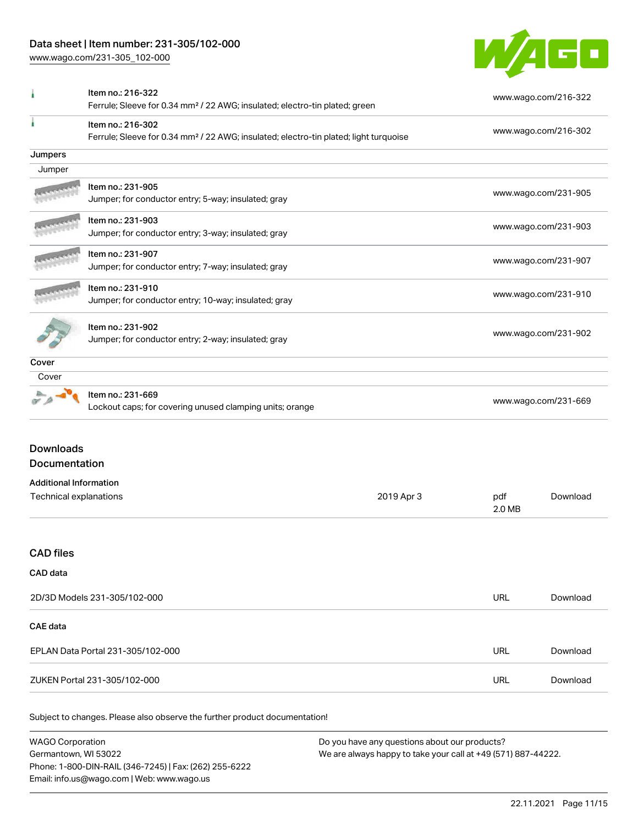## Data sheet | Item number: 231-305/102-000

[www.wago.com/231-305\\_102-000](http://www.wago.com/231-305_102-000)



|                                                                                                                        | Item no.: 216-322<br>Ferrule; Sleeve for 0.34 mm <sup>2</sup> / 22 AWG; insulated; electro-tin plated; green |            |                      | www.wago.com/216-322 |  |
|------------------------------------------------------------------------------------------------------------------------|--------------------------------------------------------------------------------------------------------------|------------|----------------------|----------------------|--|
| Item no.: 216-302<br>Ferrule; Sleeve for 0.34 mm <sup>2</sup> / 22 AWG; insulated; electro-tin plated; light turquoise |                                                                                                              |            |                      | www.wago.com/216-302 |  |
| Jumpers                                                                                                                |                                                                                                              |            |                      |                      |  |
| Jumper                                                                                                                 |                                                                                                              |            |                      |                      |  |
|                                                                                                                        | Item no.: 231-905<br>Jumper; for conductor entry; 5-way; insulated; gray                                     |            |                      | www.wago.com/231-905 |  |
|                                                                                                                        | Item no.: 231-903<br>Jumper; for conductor entry; 3-way; insulated; gray                                     |            |                      | www.wago.com/231-903 |  |
|                                                                                                                        | Item no.: 231-907<br>Jumper; for conductor entry; 7-way; insulated; gray                                     |            |                      | www.wago.com/231-907 |  |
|                                                                                                                        | Item no.: 231-910<br>Jumper; for conductor entry; 10-way; insulated; gray                                    |            |                      | www.wago.com/231-910 |  |
|                                                                                                                        | Item no.: 231-902<br>Jumper; for conductor entry; 2-way; insulated; gray                                     |            | www.wago.com/231-902 |                      |  |
| Cover                                                                                                                  |                                                                                                              |            |                      |                      |  |
| Cover                                                                                                                  |                                                                                                              |            |                      |                      |  |
|                                                                                                                        | Item no.: 231-669<br>www.wago.com/231-669<br>Lockout caps; for covering unused clamping units; orange        |            |                      |                      |  |
| <b>Downloads</b><br>Documentation                                                                                      |                                                                                                              |            |                      |                      |  |
| <b>Additional Information</b>                                                                                          |                                                                                                              |            |                      |                      |  |
| Technical explanations                                                                                                 |                                                                                                              | 2019 Apr 3 | pdf<br>2.0 MB        | Download             |  |
| <b>CAD</b> files                                                                                                       |                                                                                                              |            |                      |                      |  |
| CAD data                                                                                                               |                                                                                                              |            |                      |                      |  |
|                                                                                                                        | 2D/3D Models 231-305/102-000                                                                                 |            | <b>URL</b>           | Download             |  |
| CAE data                                                                                                               |                                                                                                              |            |                      |                      |  |
|                                                                                                                        | EPLAN Data Portal 231-305/102-000                                                                            |            | URL                  | Download             |  |
| URL<br>ZUKEN Portal 231-305/102-000                                                                                    |                                                                                                              |            | Download             |                      |  |

Subject to changes. Please also observe the further product documentation!

| <b>WAGO Corporation</b>                                | Do you have any questions about our products?                 |
|--------------------------------------------------------|---------------------------------------------------------------|
| Germantown, WI 53022                                   | We are always happy to take your call at +49 (571) 887-44222. |
| Phone: 1-800-DIN-RAIL (346-7245)   Fax: (262) 255-6222 |                                                               |
| Email: info.us@wago.com   Web: www.wago.us             |                                                               |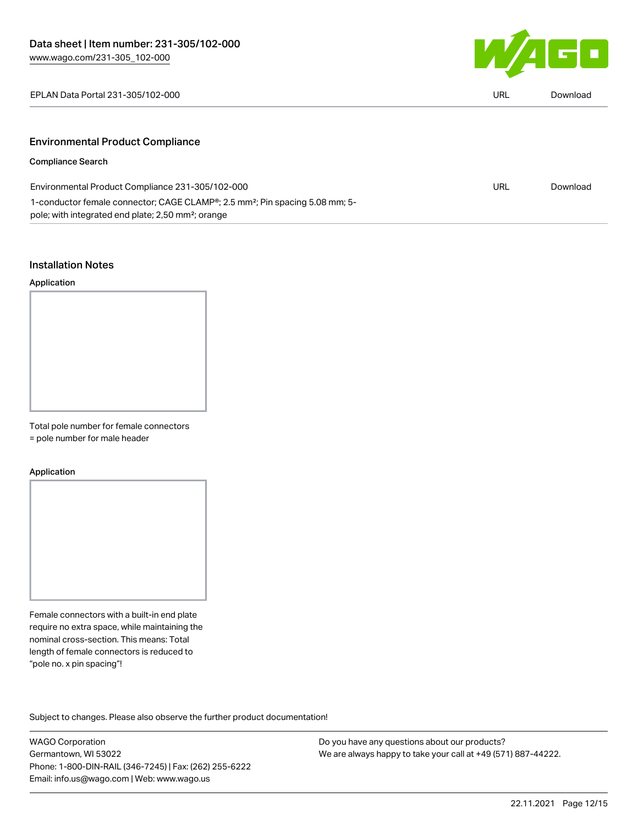

| EPLAN Data Portal 231-305/102-000 | URL<br>$\sim$ $\sim$ |  |
|-----------------------------------|----------------------|--|
|                                   |                      |  |

## Environmental Product Compliance

## Compliance Search

L.

| Environmental Product Compliance 231-305/102-000                                                      | URL | Download |
|-------------------------------------------------------------------------------------------------------|-----|----------|
| 1-conductor female connector; CAGE CLAMP <sup>®</sup> ; 2.5 mm <sup>2</sup> ; Pin spacing 5.08 mm; 5- |     |          |
| pole; with integrated end plate; 2,50 mm <sup>2</sup> ; orange                                        |     |          |

## Installation Notes

#### Application



Total pole number for female connectors

= pole number for male header

#### Application



Female connectors with a built-in end plate require no extra space, while maintaining the nominal cross-section. This means: Total length of female connectors is reduced to "pole no. x pin spacing"!

Subject to changes. Please also observe the further product documentation!

WAGO Corporation Germantown, WI 53022 Phone: 1-800-DIN-RAIL (346-7245) | Fax: (262) 255-6222 Email: info.us@wago.com | Web: www.wago.us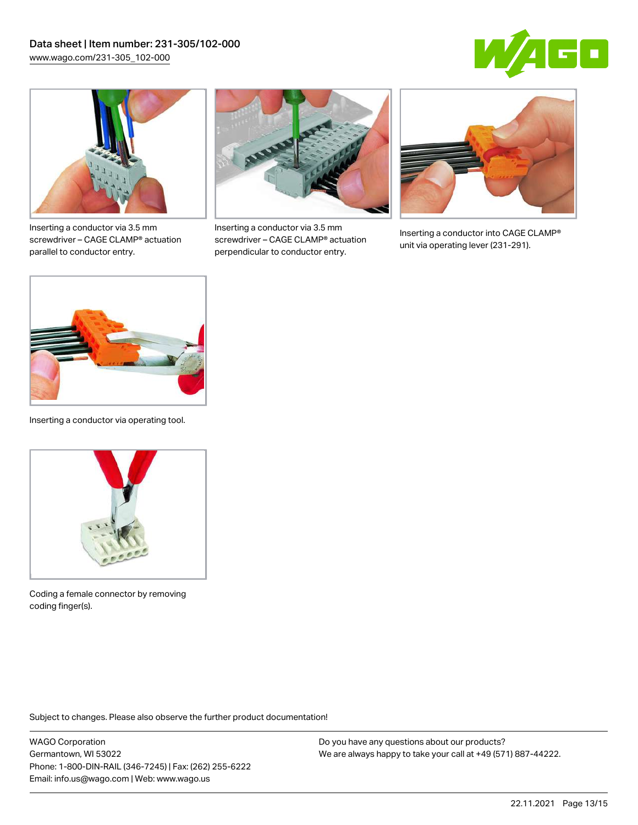



Inserting a conductor via 3.5 mm screwdriver – CAGE CLAMP® actuation parallel to conductor entry.



Inserting a conductor via 3.5 mm screwdriver – CAGE CLAMP® actuation perpendicular to conductor entry.



Inserting a conductor into CAGE CLAMP® unit via operating lever (231-291).



Inserting a conductor via operating tool.



Coding a female connector by removing coding finger(s).

Subject to changes. Please also observe the further product documentation!

WAGO Corporation Germantown, WI 53022 Phone: 1-800-DIN-RAIL (346-7245) | Fax: (262) 255-6222 Email: info.us@wago.com | Web: www.wago.us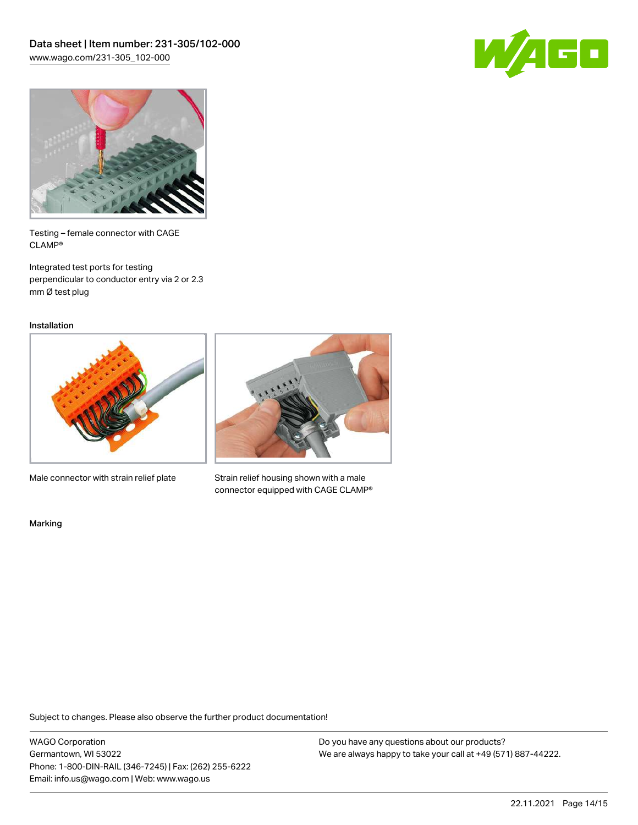



Testing – female connector with CAGE CLAMP®

Integrated test ports for testing perpendicular to conductor entry via 2 or 2.3 mm Ø test plug

Installation



Male connector with strain relief plate



Strain relief housing shown with a male connector equipped with CAGE CLAMP®

Marking

Subject to changes. Please also observe the further product documentation!

WAGO Corporation Germantown, WI 53022 Phone: 1-800-DIN-RAIL (346-7245) | Fax: (262) 255-6222 Email: info.us@wago.com | Web: www.wago.us